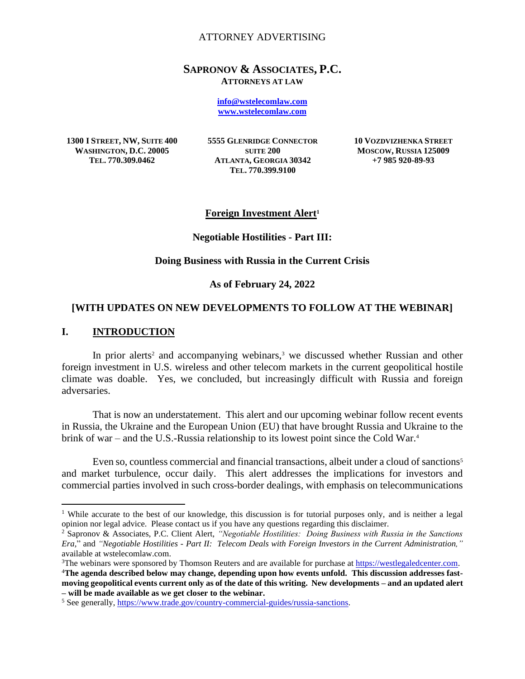## ATTORNEY ADVERTISING

## **SAPRONOV & ASSOCIATES, P.C. ATTORNEYS AT LAW**

**[info@wstelecomlaw.com](mailto:info@wstelecomlaw.com) [www.wstelecomlaw.com](http://www.wstelecomlaw.com/)**

**1300 I STREET, NW, SUITE 400 WASHINGTON, D.C. 20005 TEL. 770.309.0462**

**5555 GLENRIDGE CONNECTOR SUITE 200 ATLANTA, GEORGIA 30342 TEL. 770.399.9100**

**10 VOZDVIZHENKA STREET MOSCOW, RUSSIA 125009 +7 985 920-89-93**

## **Foreign Investment Alert<sup>1</sup>**

#### **Negotiable Hostilities - Part III:**

### **Doing Business with Russia in the Current Crisis**

#### **As of February 24, 2022**

## **[WITH UPDATES ON NEW DEVELOPMENTS TO FOLLOW AT THE WEBINAR]**

# **I. INTRODUCTION**

In prior alerts<sup>2</sup> and accompanying webinars,<sup>3</sup> we discussed whether Russian and other foreign investment in U.S. wireless and other telecom markets in the current geopolitical hostile climate was doable. Yes, we concluded, but increasingly difficult with Russia and foreign adversaries.

That is now an understatement. This alert and our upcoming webinar follow recent events in Russia, the Ukraine and the European Union (EU) that have brought Russia and Ukraine to the brink of war – and the U.S.-Russia relationship to its lowest point since the Cold War.<sup>4</sup>

Even so, countless commercial and financial transactions, albeit under a cloud of sanctions<sup>5</sup> and market turbulence, occur daily. This alert addresses the implications for investors and commercial parties involved in such cross-border dealings, with emphasis on telecommunications

<sup>&</sup>lt;sup>1</sup> While accurate to the best of our knowledge, this discussion is for tutorial purposes only, and is neither a legal opinion nor legal advice. Please contact us if you have any questions regarding this disclaimer.

<sup>2</sup> Sapronov & Associates, P.C. Client Alert, *"Negotiable Hostilities: Doing Business with Russia in the Sanctions Era,*" and *"Negotiable Hostilities - Part II: Telecom Deals with Foreign Investors in the Current Administration,"* available at wstelecomlaw.com.

<sup>3</sup>The webinars were sponsored by Thomson Reuters and are available for purchase at [https://westlegaledcenter.com.](https://westlegaledcenter.com/search/advancedCLESearchCriteriaForm.jsf;jsessionid=4D34A69455C6D95D19F208FB21FAE5C7) 4**The agenda described below may change, depending upon how events unfold. This discussion addresses fastmoving geopolitical events current only as of the date of this writing. New developments – and an updated alert – will be made available as we get closer to the webinar.**

<sup>5</sup> See generally, [https://www.trade.gov/country-commercial-guides/russia-sanctions.](https://www.trade.gov/country-commercial-guides/russia-sanctions)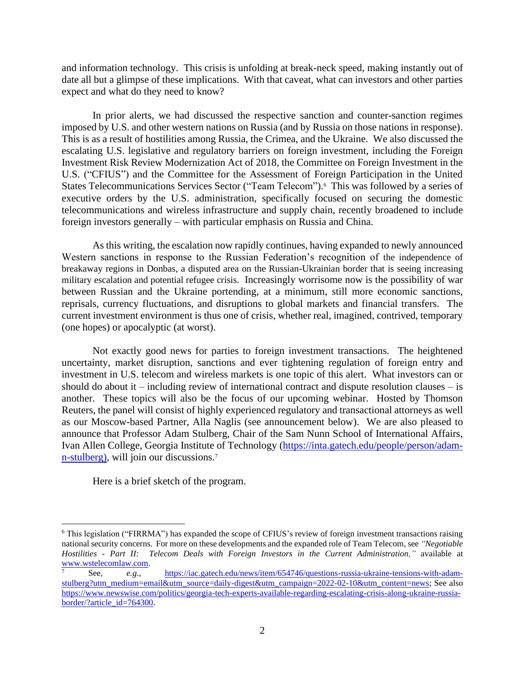and information technology. This crisis is unfolding at break-neck speed, making instantly out of date all but a glimpse of these implications. With that caveat, what can investors and other parties expect and what do they need to know?

In prior alerts, we had discussed the respective sanction and counter-sanction regimes imposed by U.S. and other western nations on Russia (and by Russia on those nations in response). This is as a result of hostilities among Russia, the Crimea, and the Ukraine. We also discussed the escalating U.S. legislative and regulatory barriers on foreign investment, including the Foreign Investment Risk Review Modernization Act of 2018, the Committee on Foreign Investment in the U.S. ("CFIUS") and the Committee for the Assessment of Foreign Participation in the United States Telecommunications Services Sector ("Team Telecom").<sup>6</sup> This was followed by a series of executive orders by the U.S. administration, specifically focused on securing the domestic telecommunications and wireless infrastructure and supply chain, recently broadened to include foreign investors generally – with particular emphasis on Russia and China.

As this writing, the escalation now rapidly continues, having expanded to newly announced Western sanctions in response to the Russian Federation's recognition of the independence of breakaway regions in Donbas, a disputed area on the Russian-Ukrainian border that is seeing increasing military escalation and potential refugee crisis. Increasingly worrisome now is the possibility of war between Russian and the Ukraine portending, at a minimum, still more economic sanctions, reprisals, currency fluctuations, and disruptions to global markets and financial transfers. The current investment environment is thus one of crisis, whether real, imagined, contrived, temporary (one hopes) or apocalyptic (at worst).

Not exactly good news for parties to foreign investment transactions. The heightened uncertainty, market disruption, sanctions and ever tightening regulation of foreign entry and investment in U.S. telecom and wireless markets is one topic of this alert. What investors can or should do about it – including review of international contract and dispute resolution clauses – is another. These topics will also be the focus of our upcoming webinar. Hosted by Thomson Reuters, the panel will consist of highly experienced regulatory and transactional attorneys as well as our Moscow-based Partner, Alla Naglis (see announcement below). We are also pleased to announce that Professor Adam Stulberg, Chair of the Sam Nunn School of International Affairs, Ivan Allen College, Georgia Institute of Technology [\(https://inta.gatech.edu/people/person/adam](https://inta.gatech.edu/people/person/adam-n-stulberg)[n-stulberg\)](https://inta.gatech.edu/people/person/adam-n-stulberg), will join our discussions.<sup>7</sup>

Here is a brief sketch of the program.

<sup>6</sup> This legislation ("FIRRMA") has expanded the scope of CFIUS's review of foreign investment transactions raising national security concerns. For more on these developments and the expanded role of Team Telecom, see *"Negotiable Hostilities - Part II: Telecom Deals with Foreign Investors in the Current Administration,"* available at [www.wstelecomlaw.com.](http://www.wstelecomlaw.com/)

<sup>7</sup> See, *e.g.*, [https://iac.gatech.edu/news/item/654746/questions-russia-ukraine-tensions-with-adam](https://iac.gatech.edu/news/item/654746/questions-russia-ukraine-tensions-with-adam-stulberg?utm_medium=email&utm_source=daily-digest&utm_campaign=2022-02-10&utm_content=news)[stulberg?utm\\_medium=email&utm\\_source=daily-digest&utm\\_campaign=2022-02-10&utm\\_content=news;](https://iac.gatech.edu/news/item/654746/questions-russia-ukraine-tensions-with-adam-stulberg?utm_medium=email&utm_source=daily-digest&utm_campaign=2022-02-10&utm_content=news) See also [https://www.newswise.com/politics/georgia-tech-experts-available-regarding-escalating-crisis-along-ukraine-russia](https://www.newswise.com/politics/georgia-tech-experts-available-regarding-escalating-crisis-along-ukraine-russia-border/?article_id=764300)[border/?article\\_id=764300.](https://www.newswise.com/politics/georgia-tech-experts-available-regarding-escalating-crisis-along-ukraine-russia-border/?article_id=764300)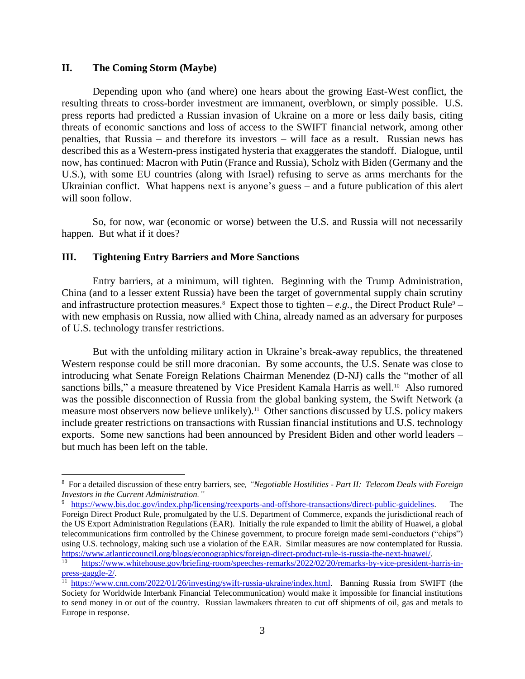# **II. The Coming Storm (Maybe)**

Depending upon who (and where) one hears about the growing East-West conflict, the resulting threats to cross-border investment are immanent, overblown, or simply possible. U.S. press reports had predicted a Russian invasion of Ukraine on a more or less daily basis, citing threats of economic sanctions and loss of access to the SWIFT financial network, among other penalties, that Russia – and therefore its investors – will face as a result. Russian news has described this as a Western-press instigated hysteria that exaggerates the standoff. Dialogue, until now, has continued: Macron with Putin (France and Russia), Scholz with Biden (Germany and the U.S.), with some EU countries (along with Israel) refusing to serve as arms merchants for the Ukrainian conflict. What happens next is anyone's guess – and a future publication of this alert will soon follow.

So, for now, war (economic or worse) between the U.S. and Russia will not necessarily happen. But what if it does?

## **III. Tightening Entry Barriers and More Sanctions**

Entry barriers, at a minimum, will tighten. Beginning with the Trump Administration, China (and to a lesser extent Russia) have been the target of governmental supply chain scrutiny and infrastructure protection measures.<sup>8</sup> Expect those to tighten  $-e.g.,$  the Direct Product Rule<sup>9</sup> – with new emphasis on Russia, now allied with China, already named as an adversary for purposes of U.S. technology transfer restrictions.

But with the unfolding military action in Ukraine's break-away republics, the threatened Western response could be still more draconian. By some accounts, the U.S. Senate was close to introducing what Senate Foreign Relations Chairman Menendez (D-NJ) calls the "mother of all sanctions bills," a measure threatened by Vice President Kamala Harris as well.<sup>10</sup> Also rumored was the possible disconnection of Russia from the global banking system, the Swift Network (a measure most observers now believe unlikely).<sup>11</sup> Other sanctions discussed by U.S. policy makers include greater restrictions on transactions with Russian financial institutions and U.S. technology exports. Some new sanctions had been announced by President Biden and other world leaders – but much has been left on the table.

<sup>8</sup> For a detailed discussion of these entry barriers, see*, "Negotiable Hostilities - Part II: Telecom Deals with Foreign Investors in the Current Administration."*

<sup>9</sup> [https://www.bis.doc.gov/index.php/licensing/reexports-and-offshore-transactions/direct-public-guidelines.](https://www.bis.doc.gov/index.php/licensing/reexports-and-offshore-transactions/direct-public-guidelines) The Foreign Direct Product Rule, promulgated by the U.S. Department of Commerce, expands the jurisdictional reach of the US Export Administration Regulations (EAR). Initially the rule expanded to limit the ability of Huawei, a global telecommunications firm controlled by the Chinese government, to procure foreign made semi-conductors ("chips") using U.S. technology, making such use a violation of the EAR. Similar measures are now contemplated for Russia. [https://www.atlanticcouncil.org/blogs/econographics/foreign-direct-product-rule-is-russia-the-next-huawei/.](https://www.atlanticcouncil.org/blogs/econographics/foreign-direct-product-rule-is-russia-the-next-huawei/)

[https://www.whitehouse.gov/briefing-room/speeches-remarks/2022/02/20/remarks-by-vice-president-harris-in](https://www.whitehouse.gov/briefing-room/speeches-remarks/2022/02/20/remarks-by-vice-president-harris-in-press-gaggle-2/)[press-gaggle-2/.](https://www.whitehouse.gov/briefing-room/speeches-remarks/2022/02/20/remarks-by-vice-president-harris-in-press-gaggle-2/)

<sup>&</sup>lt;sup>11</sup> https://www<u>.cnn.com/2022/01/26/investing/swift-russia-ukraine/index.html</u>. Banning Russia from SWIFT (the Society for Worldwide Interbank Financial Telecommunication) would make it impossible for financial institutions to send money in or out of the country. Russian lawmakers threaten to cut off shipments of oil, gas and metals to Europe in response.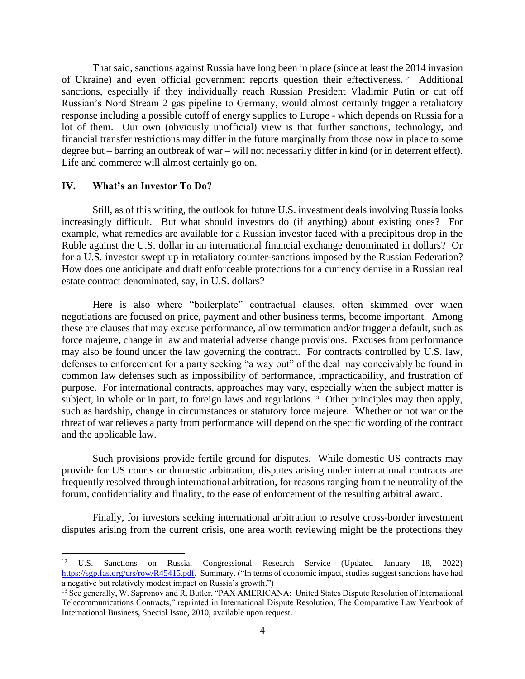That said, sanctions against Russia have long been in place (since at least the 2014 invasion of Ukraine) and even official government reports question their effectiveness.<sup>12</sup> Additional sanctions, especially if they individually reach Russian President Vladimir Putin or cut off Russian's Nord Stream 2 gas pipeline to Germany, would almost certainly trigger a retaliatory response including a possible cutoff of energy supplies to Europe - which depends on Russia for a lot of them. Our own (obviously unofficial) view is that further sanctions, technology, and financial transfer restrictions may differ in the future marginally from those now in place to some degree but – barring an outbreak of war – will not necessarily differ in kind (or in deterrent effect). Life and commerce will almost certainly go on.

#### **IV. What's an Investor To Do?**

Still, as of this writing, the outlook for future U.S. investment deals involving Russia looks increasingly difficult. But what should investors do (if anything) about existing ones? For example, what remedies are available for a Russian investor faced with a precipitous drop in the Ruble against the U.S. dollar in an international financial exchange denominated in dollars? Or for a U.S. investor swept up in retaliatory counter-sanctions imposed by the Russian Federation? How does one anticipate and draft enforceable protections for a currency demise in a Russian real estate contract denominated, say, in U.S. dollars?

Here is also where "boilerplate" contractual clauses, often skimmed over when negotiations are focused on price, payment and other business terms, become important. Among these are clauses that may excuse performance, allow termination and/or trigger a default, such as force majeure, change in law and material adverse change provisions. Excuses from performance may also be found under the law governing the contract. For contracts controlled by U.S. law, defenses to enforcement for a party seeking "a way out" of the deal may conceivably be found in common law defenses such as impossibility of performance, impracticability, and frustration of purpose. For international contracts, approaches may vary, especially when the subject matter is subject, in whole or in part, to foreign laws and regulations. 13 Other principles may then apply, such as hardship, change in circumstances or statutory force majeure. Whether or not war or the threat of war relieves a party from performance will depend on the specific wording of the contract and the applicable law.

Such provisions provide fertile ground for disputes. While domestic US contracts may provide for US courts or domestic arbitration, disputes arising under international contracts are frequently resolved through international arbitration, for reasons ranging from the neutrality of the forum, confidentiality and finality, to the ease of enforcement of the resulting arbitral award.

Finally, for investors seeking international arbitration to resolve cross-border investment disputes arising from the current crisis, one area worth reviewing might be the protections they

<sup>12</sup> U.S. Sanctions on Russia, Congressional Research Service (Updated January 18, 2022) [https://sgp.fas.org/crs/row/R45415.pdf.](https://sgp.fas.org/crs/row/R45415.pdf) Summary. ("In terms of economic impact, studies suggest sanctions have had a negative but relatively modest impact on Russia's growth.")

<sup>13</sup> See generally, W. Sapronov and R. Butler, "PAX AMERICANA: United States Dispute Resolution of International Telecommunications Contracts," reprinted in International Dispute Resolution, The Comparative Law Yearbook of International Business, Special Issue, 2010, available upon request.